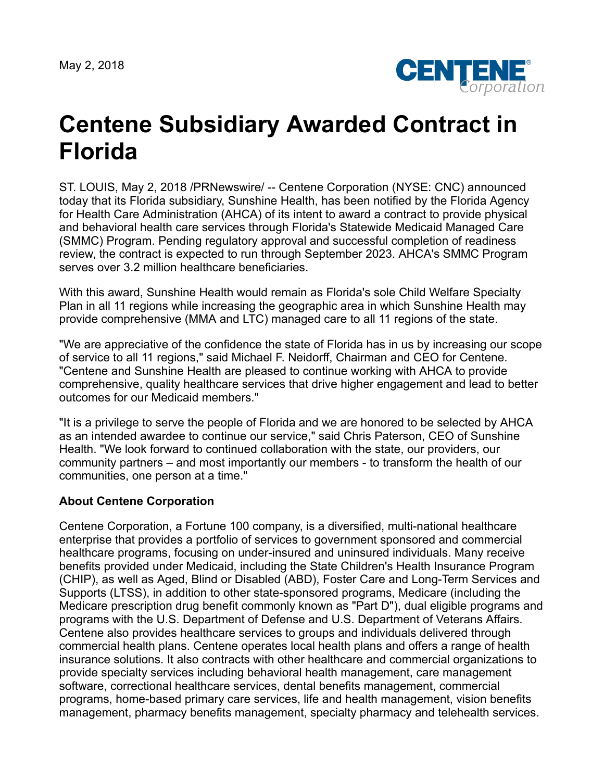May 2, 2018



## **Centene Subsidiary Awarded Contract in Florida**

ST. LOUIS, May 2, 2018 /PRNewswire/ -- Centene Corporation (NYSE: CNC) announced today that its Florida subsidiary, Sunshine Health, has been notified by the Florida Agency for Health Care Administration (AHCA) of its intent to award a contract to provide physical and behavioral health care services through Florida's Statewide Medicaid Managed Care (SMMC) Program. Pending regulatory approval and successful completion of readiness review, the contract is expected to run through September 2023. AHCA's SMMC Program serves over 3.2 million healthcare beneficiaries.

With this award, Sunshine Health would remain as Florida's sole Child Welfare Specialty Plan in all 11 regions while increasing the geographic area in which Sunshine Health may provide comprehensive (MMA and LTC) managed care to all 11 regions of the state.

"We are appreciative of the confidence the state of Florida has in us by increasing our scope of service to all 11 regions," said Michael F. Neidorff, Chairman and CEO for Centene. "Centene and Sunshine Health are pleased to continue working with AHCA to provide comprehensive, quality healthcare services that drive higher engagement and lead to better outcomes for our Medicaid members."

"It is a privilege to serve the people of Florida and we are honored to be selected by AHCA as an intended awardee to continue our service," said Chris Paterson, CEO of Sunshine Health. "We look forward to continued collaboration with the state, our providers, our community partners – and most importantly our members - to transform the health of our communities, one person at a time."

## **About Centene Corporation**

Centene Corporation, a Fortune 100 company, is a diversified, multi-national healthcare enterprise that provides a portfolio of services to government sponsored and commercial healthcare programs, focusing on under-insured and uninsured individuals. Many receive benefits provided under Medicaid, including the State Children's Health Insurance Program (CHIP), as well as Aged, Blind or Disabled (ABD), Foster Care and Long-Term Services and Supports (LTSS), in addition to other state-sponsored programs, Medicare (including the Medicare prescription drug benefit commonly known as "Part D"), dual eligible programs and programs with the U.S. Department of Defense and U.S. Department of Veterans Affairs. Centene also provides healthcare services to groups and individuals delivered through commercial health plans. Centene operates local health plans and offers a range of health insurance solutions. It also contracts with other healthcare and commercial organizations to provide specialty services including behavioral health management, care management software, correctional healthcare services, dental benefits management, commercial programs, home-based primary care services, life and health management, vision benefits management, pharmacy benefits management, specialty pharmacy and telehealth services.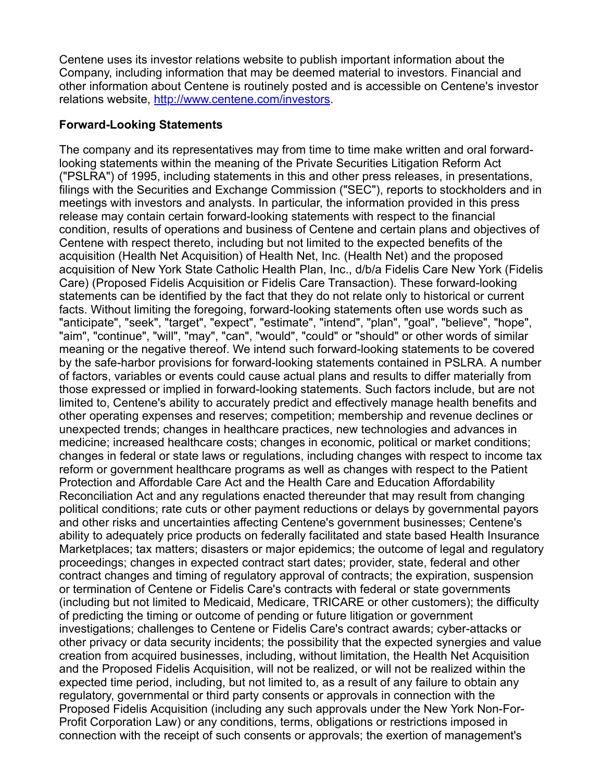Centene uses its investor relations website to publish important information about the Company, including information that may be deemed material to investors. Financial and other information about Centene is routinely posted and is accessible on Centene's investor relations website, <http://www.centene.com/investors>.

## **Forward-Looking Statements**

The company and its representatives may from time to time make written and oral forwardlooking statements within the meaning of the Private Securities Litigation Reform Act ("PSLRA") of 1995, including statements in this and other press releases, in presentations, filings with the Securities and Exchange Commission ("SEC"), reports to stockholders and in meetings with investors and analysts. In particular, the information provided in this press release may contain certain forward-looking statements with respect to the financial condition, results of operations and business of Centene and certain plans and objectives of Centene with respect thereto, including but not limited to the expected benefits of the acquisition (Health Net Acquisition) of Health Net, Inc. (Health Net) and the proposed acquisition of New York State Catholic Health Plan, Inc., d/b/a Fidelis Care New York (Fidelis Care) (Proposed Fidelis Acquisition or Fidelis Care Transaction). These forward-looking statements can be identified by the fact that they do not relate only to historical or current facts. Without limiting the foregoing, forward-looking statements often use words such as "anticipate", "seek", "target", "expect", "estimate", "intend", "plan", "goal", "believe", "hope", "aim", "continue", "will", "may", "can", "would", "could" or "should" or other words of similar meaning or the negative thereof. We intend such forward-looking statements to be covered by the safe-harbor provisions for forward-looking statements contained in PSLRA. A number of factors, variables or events could cause actual plans and results to differ materially from those expressed or implied in forward-looking statements. Such factors include, but are not limited to, Centene's ability to accurately predict and effectively manage health benefits and other operating expenses and reserves; competition; membership and revenue declines or unexpected trends; changes in healthcare practices, new technologies and advances in medicine; increased healthcare costs; changes in economic, political or market conditions; changes in federal or state laws or regulations, including changes with respect to income tax reform or government healthcare programs as well as changes with respect to the Patient Protection and Affordable Care Act and the Health Care and Education Affordability Reconciliation Act and any regulations enacted thereunder that may result from changing political conditions; rate cuts or other payment reductions or delays by governmental payors and other risks and uncertainties affecting Centene's government businesses; Centene's ability to adequately price products on federally facilitated and state based Health Insurance Marketplaces; tax matters; disasters or major epidemics; the outcome of legal and regulatory proceedings; changes in expected contract start dates; provider, state, federal and other contract changes and timing of regulatory approval of contracts; the expiration, suspension or termination of Centene or Fidelis Care's contracts with federal or state governments (including but not limited to Medicaid, Medicare, TRICARE or other customers); the difficulty of predicting the timing or outcome of pending or future litigation or government investigations; challenges to Centene or Fidelis Care's contract awards; cyber-attacks or other privacy or data security incidents; the possibility that the expected synergies and value creation from acquired businesses, including, without limitation, the Health Net Acquisition and the Proposed Fidelis Acquisition, will not be realized, or will not be realized within the expected time period, including, but not limited to, as a result of any failure to obtain any regulatory, governmental or third party consents or approvals in connection with the Proposed Fidelis Acquisition (including any such approvals under the New York Non-For-Profit Corporation Law) or any conditions, terms, obligations or restrictions imposed in connection with the receipt of such consents or approvals; the exertion of management's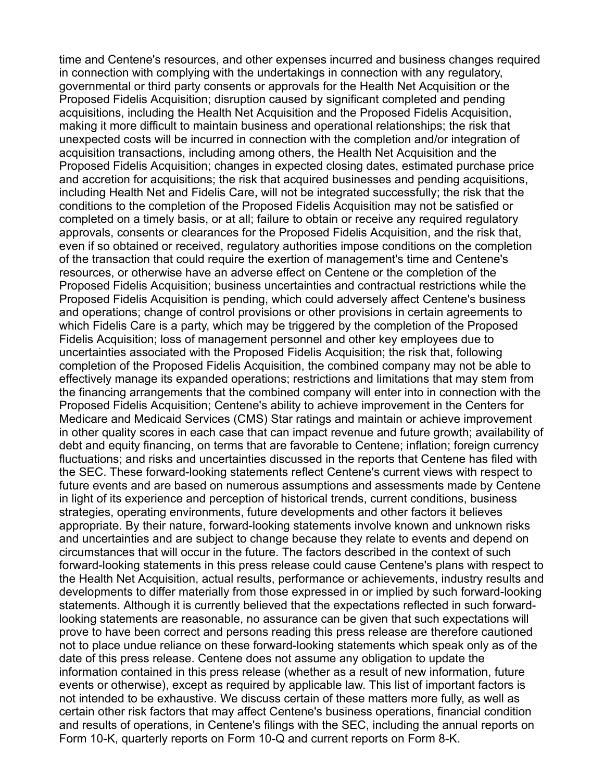time and Centene's resources, and other expenses incurred and business changes required in connection with complying with the undertakings in connection with any regulatory, governmental or third party consents or approvals for the Health Net Acquisition or the Proposed Fidelis Acquisition; disruption caused by significant completed and pending acquisitions, including the Health Net Acquisition and the Proposed Fidelis Acquisition, making it more difficult to maintain business and operational relationships; the risk that unexpected costs will be incurred in connection with the completion and/or integration of acquisition transactions, including among others, the Health Net Acquisition and the Proposed Fidelis Acquisition; changes in expected closing dates, estimated purchase price and accretion for acquisitions; the risk that acquired businesses and pending acquisitions, including Health Net and Fidelis Care, will not be integrated successfully; the risk that the conditions to the completion of the Proposed Fidelis Acquisition may not be satisfied or completed on a timely basis, or at all; failure to obtain or receive any required regulatory approvals, consents or clearances for the Proposed Fidelis Acquisition, and the risk that, even if so obtained or received, regulatory authorities impose conditions on the completion of the transaction that could require the exertion of management's time and Centene's resources, or otherwise have an adverse effect on Centene or the completion of the Proposed Fidelis Acquisition; business uncertainties and contractual restrictions while the Proposed Fidelis Acquisition is pending, which could adversely affect Centene's business and operations; change of control provisions or other provisions in certain agreements to which Fidelis Care is a party, which may be triggered by the completion of the Proposed Fidelis Acquisition; loss of management personnel and other key employees due to uncertainties associated with the Proposed Fidelis Acquisition; the risk that, following completion of the Proposed Fidelis Acquisition, the combined company may not be able to effectively manage its expanded operations; restrictions and limitations that may stem from the financing arrangements that the combined company will enter into in connection with the Proposed Fidelis Acquisition; Centene's ability to achieve improvement in the Centers for Medicare and Medicaid Services (CMS) Star ratings and maintain or achieve improvement in other quality scores in each case that can impact revenue and future growth; availability of debt and equity financing, on terms that are favorable to Centene; inflation; foreign currency fluctuations; and risks and uncertainties discussed in the reports that Centene has filed with the SEC. These forward-looking statements reflect Centene's current views with respect to future events and are based on numerous assumptions and assessments made by Centene in light of its experience and perception of historical trends, current conditions, business strategies, operating environments, future developments and other factors it believes appropriate. By their nature, forward-looking statements involve known and unknown risks and uncertainties and are subject to change because they relate to events and depend on circumstances that will occur in the future. The factors described in the context of such forward-looking statements in this press release could cause Centene's plans with respect to the Health Net Acquisition, actual results, performance or achievements, industry results and developments to differ materially from those expressed in or implied by such forward-looking statements. Although it is currently believed that the expectations reflected in such forwardlooking statements are reasonable, no assurance can be given that such expectations will prove to have been correct and persons reading this press release are therefore cautioned not to place undue reliance on these forward-looking statements which speak only as of the date of this press release. Centene does not assume any obligation to update the information contained in this press release (whether as a result of new information, future events or otherwise), except as required by applicable law. This list of important factors is not intended to be exhaustive. We discuss certain of these matters more fully, as well as certain other risk factors that may affect Centene's business operations, financial condition and results of operations, in Centene's filings with the SEC, including the annual reports on Form 10-K, quarterly reports on Form 10-Q and current reports on Form 8-K.